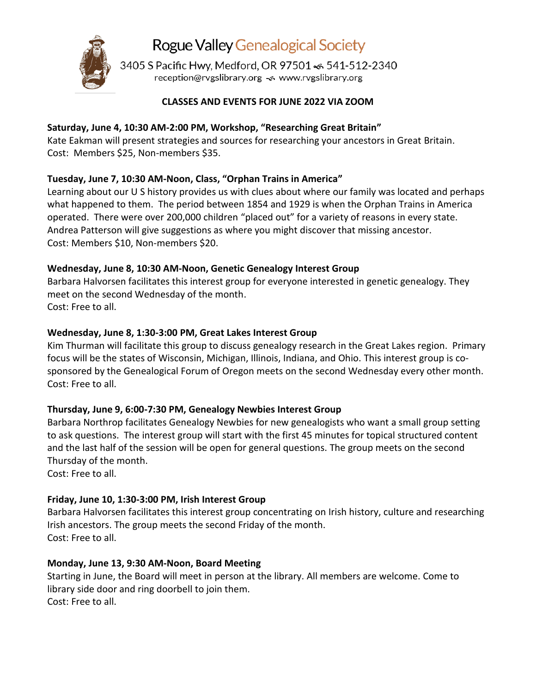

Rogue Valley Genealogical Society

3405 S Pacific Hwy, Medford, OR 97501 <6 541-512-2340 reception@rvgslibrary.org << www.rvgslibrary.org

# **CLASSES AND EVENTS FOR JUNE 2022 VIA ZOOM**

# **Saturday, June 4, 10:30 AM-2:00 PM, Workshop, "Researching Great Britain"**

Kate Eakman will present strategies and sources for researching your ancestors in Great Britain. Cost: Members \$25, Non-members \$35.

# **Tuesday, June 7, 10:30 AM-Noon, Class, "Orphan Trains in America"**

Learning about our U S history provides us with clues about where our family was located and perhaps what happened to them. The period between 1854 and 1929 is when the Orphan Trains in America operated. There were over 200,000 children "placed out" for a variety of reasons in every state. Andrea Patterson will give suggestions as where you might discover that missing ancestor. Cost: Members \$10, Non-members \$20.

# **Wednesday, June 8, 10:30 AM-Noon, Genetic Genealogy Interest Group**

Barbara Halvorsen facilitates this interest group for everyone interested in genetic genealogy. They meet on the second Wednesday of the month. Cost: Free to all.

# **Wednesday, June 8, 1:30-3:00 PM, Great Lakes Interest Group**

Kim Thurman will facilitate this group to discuss genealogy research in the Great Lakes region. Primary focus will be the states of Wisconsin, Michigan, Illinois, Indiana, and Ohio. This interest group is cosponsored by the Genealogical Forum of Oregon meets on the second Wednesday every other month. Cost: Free to all.

# **Thursday, June 9, 6:00-7:30 PM, Genealogy Newbies Interest Group**

Barbara Northrop facilitates Genealogy Newbies for new genealogists who want a small group setting to ask questions. The interest group will start with the first 45 minutes for topical structured content and the last half of the session will be open for general questions. The group meets on the second Thursday of the month.

Cost: Free to all.

# **Friday, June 10, 1:30-3:00 PM, Irish Interest Group**

Barbara Halvorsen facilitates this interest group concentrating on Irish history, culture and researching Irish ancestors. The group meets the second Friday of the month. Cost: Free to all.

# **Monday, June 13, 9:30 AM-Noon, Board Meeting**

Starting in June, the Board will meet in person at the library. All members are welcome. Come to library side door and ring doorbell to join them. Cost: Free to all.